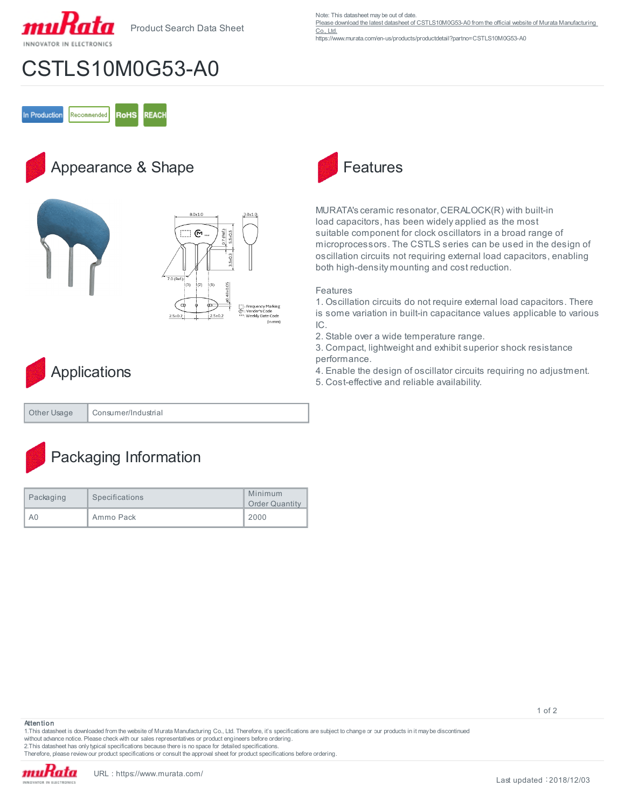

Product Search Data Sheet

Note: This datasheet may be out of date.

[Please download the latest datasheet of CSTLS10M0G53-A0 from the official website of Murata Manufacturing](https://www.murata.com/en-us/products/productdetail?partno=CSTLS10M0G53-A0)  [Co., Ltd.](https://www.murata.com/en-us/products/productdetail?partno=CSTLS10M0G53-A0)

https://www.murata.com/en-us/products/productdetail?partno=CSTLS10M0G53-A0

## CSTLS10M0G53-A0

In Production Recommended **RoHS REACH** 

### Appearance & Shape







| Other Usage | Consumer/Industrial |
|-------------|---------------------|
|             |                     |

### Packaging Information

| Packaging | Specifications | Minimum<br><b>Order Quantity</b> |
|-----------|----------------|----------------------------------|
| A0        | Ammo Pack      | 2000                             |



MURATA's ceramic resonator, CERALOCK(R) with built-in load capacitors, has been widely applied as the most suitable component for clock oscillators in a broad range of microprocessors. The CSTLS series can be used in the design of oscillation circuits not requiring external load capacitors, enabling both high-density mounting and cost reduction.

### Features

1. Oscillation circuits do not require external load capacitors. There is some variation in built-in capacitance values applicable to various IC.

2. Stable over a wide temperature range.

3. Compact, lightweight and exhibit superior shock resistance performance.

- 4. Enable the design of oscillator circuits requiring no adjustment.
- 5. Cost-effective and reliable availability.

#### **Attention**

1.This datasheet is downloaded from the website of Murata Manufacturing Co., Ltd. Therefore, it's specifications are subject to change or our products in it may be discontinued without advance notice. Please check with our sales representatives or product engineers before ordering.

2.This datasheet has only typical specifications because there is no space for detailed specifications.

Therefore, please review our product specifications or consult the approval sheet for product specifications before ordering.